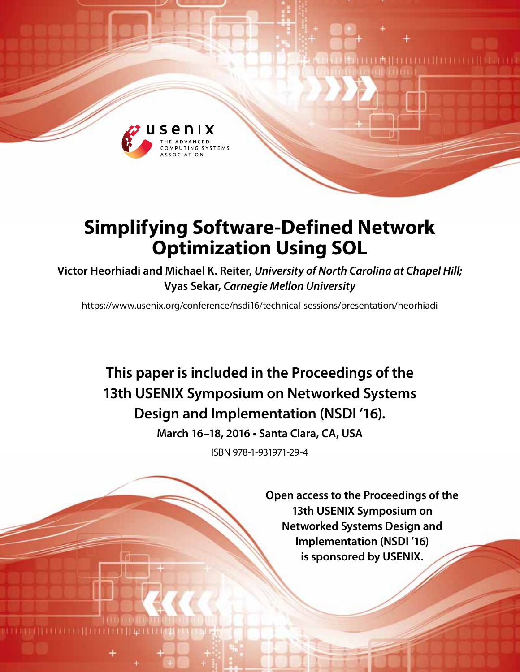

# **Simplifying Software-Defined Network Optimization Using SOL**

**Victor Heorhiadi and Michael K. Reiter,** *University of North Carolina at Chapel Hill;* **Vyas Sekar,** *Carnegie Mellon University*

https://www.usenix.org/conference/nsdi16/technical-sessions/presentation/heorhiadi

**This paper is included in the Proceedings of the 13th USENIX Symposium on Networked Systems Design and Implementation (NSDI '16).**

**March 16–18, 2016 • Santa Clara, CA, USA**

ISBN 978-1-931971-29-4

**Open access to the Proceedings of the 13th USENIX Symposium on Networked Systems Design and Implementation (NSDI '16) is sponsored by USENIX.**

**EMILIALIA ELITARIA**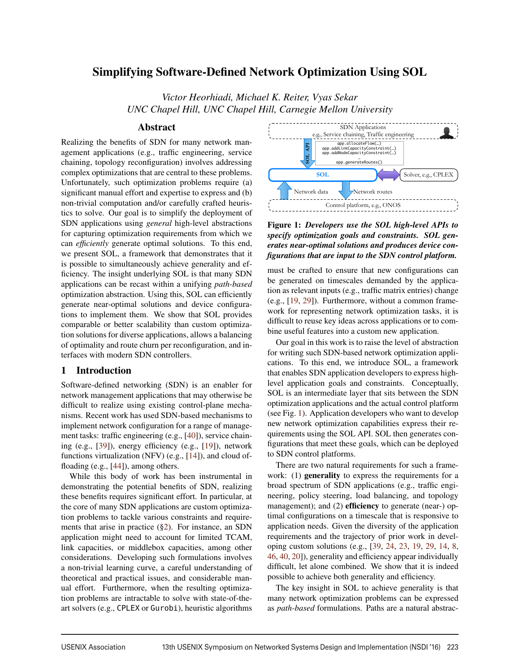# Simplifying Software-Defined Network Optimization Using SOL

*Victor Heorhiadi, Michael K. Reiter, Vyas Sekar UNC Chapel Hill, UNC Chapel Hill, Carnegie Mellon University*

## Abstract

Realizing the benefits of SDN for many network management applications (e.g., traffic engineering, service chaining, topology reconfiguration) involves addressing complex optimizations that are central to these problems. Unfortunately, such optimization problems require (a) significant manual effort and expertise to express and (b) non-trivial computation and/or carefully crafted heuristics to solve. Our goal is to simplify the deployment of SDN applications using *general* high-level abstractions for capturing optimization requirements from which we can *efficiently* generate optimal solutions. To this end, we present SOL, a framework that demonstrates that it is possible to simultaneously achieve generality and efficiency. The insight underlying SOL is that many SDN applications can be recast within a unifying *path-based* optimization abstraction. Using this, SOL can efficiently generate near-optimal solutions and device configurations to implement them. We show that SOL provides comparable or better scalability than custom optimization solutions for diverse applications, allows a balancing of optimality and route churn per reconfiguration, and interfaces with modern SDN controllers.

## 1 Introduction

Software-defined networking (SDN) is an enabler for network management applications that may otherwise be difficult to realize using existing control-plane mechanisms. Recent work has used SDN-based mechanisms to implement network configuration for a range of management tasks: traffic engineering (e.g., [40]), service chaining (e.g., [39]), energy efficiency (e.g., [19]), network functions virtualization (NFV) (e.g., [14]), and cloud offloading (e.g., [44]), among others.

While this body of work has been instrumental in demonstrating the potential benefits of SDN, realizing these benefits requires significant effort. In particular, at the core of many SDN applications are custom optimization problems to tackle various constraints and requirements that arise in practice (§2). For instance, an SDN application might need to account for limited TCAM, link capacities, or middlebox capacities, among other considerations. Developing such formulations involves a non-trivial learning curve, a careful understanding of theoretical and practical issues, and considerable manual effort. Furthermore, when the resulting optimization problems are intractable to solve with state-of-theart solvers (e.g., CPLEX or Gurobi), heuristic algorithms



Figure 1: *Developers use the SOL high-level APIs to specify optimization goals and constraints. SOL generates near-optimal solutions and produces device configurations that are input to the SDN control platform.*

must be crafted to ensure that new configurations can be generated on timescales demanded by the application as relevant inputs (e.g., traffic matrix entries) change (e.g., [19, 29]). Furthermore, without a common framework for representing network optimization tasks, it is difficult to reuse key ideas across applications or to combine useful features into a custom new application.

Our goal in this work is to raise the level of abstraction for writing such SDN-based network optimization applications. To this end, we introduce SOL, a framework that enables SDN application developers to express highlevel application goals and constraints. Conceptually, SOL is an intermediate layer that sits between the SDN optimization applications and the actual control platform (see Fig. 1). Application developers who want to develop new network optimization capabilities express their requirements using the SOL API. SOL then generates configurations that meet these goals, which can be deployed to SDN control platforms.

There are two natural requirements for such a framework: (1) generality to express the requirements for a broad spectrum of SDN applications (e.g., traffic engineering, policy steering, load balancing, and topology management); and (2) **efficiency** to generate (near-) optimal configurations on a timescale that is responsive to application needs. Given the diversity of the application requirements and the trajectory of prior work in developing custom solutions (e.g., [39, 24, 23, 19, 29, 14, 8, 46, 40, 20]), generality and efficiency appear individually difficult, let alone combined. We show that it is indeed possible to achieve both generality and efficiency.

The key insight in SOL to achieve generality is that many network optimization problems can be expressed as *path-based* formulations. Paths are a natural abstrac-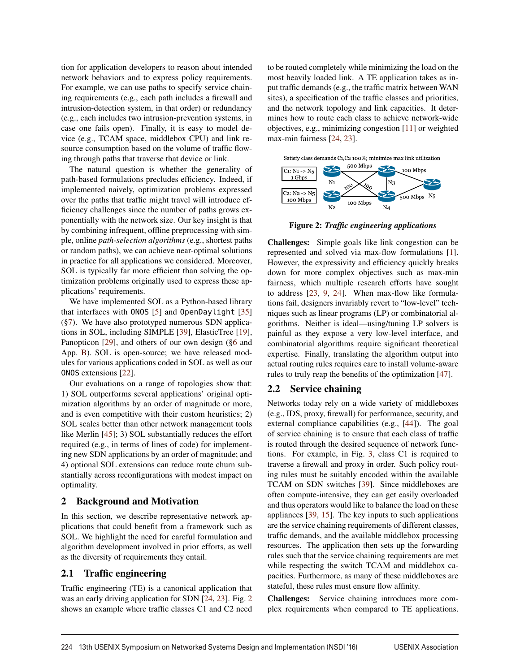tion for application developers to reason about intended network behaviors and to express policy requirements. For example, we can use paths to specify service chaining requirements (e.g., each path includes a firewall and intrusion-detection system, in that order) or redundancy (e.g., each includes two intrusion-prevention systems, in case one fails open). Finally, it is easy to model device (e.g., TCAM space, middlebox CPU) and link resource consumption based on the volume of traffic flowing through paths that traverse that device or link.

The natural question is whether the generality of path-based formulations precludes efficiency. Indeed, if implemented naively, optimization problems expressed over the paths that traffic might travel will introduce efficiency challenges since the number of paths grows exponentially with the network size. Our key insight is that by combining infrequent, offline preprocessing with simple, online *path-selection algorithms* (e.g., shortest paths or random paths), we can achieve near-optimal solutions in practice for all applications we considered. Moreover, SOL is typically far more efficient than solving the optimization problems originally used to express these applications' requirements.

We have implemented SOL as a Python-based library that interfaces with ONOS [5] and OpenDaylight [35] (§7). We have also prototyped numerous SDN applications in SOL, including SIMPLE [39], ElasticTree [19], Panopticon [29], and others of our own design (§6 and App. B). SOL is open-source; we have released modules for various applications coded in SOL as well as our ONOS extensions [22].

Our evaluations on a range of topologies show that: 1) SOL outperforms several applications' original optimization algorithms by an order of magnitude or more, and is even competitive with their custom heuristics; 2) SOL scales better than other network management tools like Merlin [45]; 3) SOL substantially reduces the effort required (e.g., in terms of lines of code) for implementing new SDN applications by an order of magnitude; and 4) optional SOL extensions can reduce route churn substantially across reconfigurations with modest impact on optimality.

## 2 Background and Motivation

In this section, we describe representative network applications that could benefit from a framework such as SOL. We highlight the need for careful formulation and algorithm development involved in prior efforts, as well as the diversity of requirements they entail.

## 2.1 Traffic engineering

Traffic engineering (TE) is a canonical application that was an early driving application for SDN [24, 23]. Fig. 2 shows an example where traffic classes C1 and C2 need to be routed completely while minimizing the load on the most heavily loaded link. A TE application takes as input traffic demands (e.g., the traffic matrix between WAN sites), a specification of the traffic classes and priorities, and the network topology and link capacities. It determines how to route each class to achieve network-wide objectives, e.g., minimizing congestion [11] or weighted max-min fairness [24, 23].



Figure 2: *Traffic engineering applications*

Challenges: Simple goals like link congestion can be represented and solved via max-flow formulations [1]. However, the expressivity and efficiency quickly breaks down for more complex objectives such as max-min fairness, which multiple research efforts have sought to address [23, 9, 24]. When max-flow like formulations fail, designers invariably revert to "low-level" techniques such as linear programs (LP) or combinatorial algorithms. Neither is ideal—using/tuning LP solvers is painful as they expose a very low-level interface, and combinatorial algorithms require significant theoretical expertise. Finally, translating the algorithm output into actual routing rules requires care to install volume-aware rules to truly reap the benefits of the optimization [47].

## 2.2 Service chaining

Networks today rely on a wide variety of middleboxes (e.g., IDS, proxy, firewall) for performance, security, and external compliance capabilities (e.g., [44]). The goal of service chaining is to ensure that each class of traffic is routed through the desired sequence of network functions. For example, in Fig. 3, class C1 is required to traverse a firewall and proxy in order. Such policy routing rules must be suitably encoded within the available TCAM on SDN switches [39]. Since middleboxes are often compute-intensive, they can get easily overloaded and thus operators would like to balance the load on these appliances [39, 15]. The key inputs to such applications are the service chaining requirements of different classes, traffic demands, and the available middlebox processing resources. The application then sets up the forwarding rules such that the service chaining requirements are met while respecting the switch TCAM and middlebox capacities. Furthermore, as many of these middleboxes are stateful, these rules must ensure flow affinity.

Challenges: Service chaining introduces more complex requirements when compared to TE applications.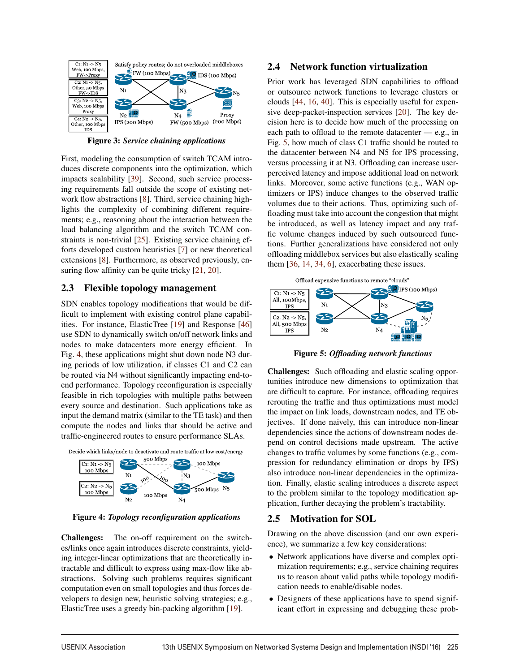

Figure 3: *Service chaining applications*

First, modeling the consumption of switch TCAM introduces discrete components into the optimization, which impacts scalability [39]. Second, such service processing requirements fall outside the scope of existing network flow abstractions [8]. Third, service chaining highlights the complexity of combining different requirements; e.g., reasoning about the interaction between the load balancing algorithm and the switch TCAM constraints is non-trivial [25]. Existing service chaining efforts developed custom heuristics [7] or new theoretical extensions [8]. Furthermore, as observed previously, ensuring flow affinity can be quite tricky [21, 20].

# 2.3 Flexible topology management

SDN enables topology modifications that would be difficult to implement with existing control plane capabilities. For instance, ElasticTree [19] and Response [46] use SDN to dynamically switch on/off network links and nodes to make datacenters more energy efficient. In Fig. 4, these applications might shut down node N3 during periods of low utilization, if classes C1 and C2 can be routed via N4 without significantly impacting end-toend performance. Topology reconfiguration is especially feasible in rich topologies with multiple paths between every source and destination. Such applications take as input the demand matrix (similar to the TE task) and then compute the nodes and links that should be active and traffic-engineered routes to ensure performance SLAs.





Figure 4: *Topology reconfiguration applications*

Challenges: The on-off requirement on the switches/links once again introduces discrete constraints, yielding integer-linear optimizations that are theoretically intractable and difficult to express using max-flow like abstractions. Solving such problems requires significant computation even on small topologies and thus forces developers to design new, heuristic solving strategies; e.g., ElasticTree uses a greedy bin-packing algorithm [19].

## 2.4 Network function virtualization

Prior work has leveraged SDN capabilities to offload or outsource network functions to leverage clusters or clouds [44, 16, 40]. This is especially useful for expensive deep-packet-inspection services [20]. The key decision here is to decide how much of the processing on each path to offload to the remote datacenter — e.g., in Fig. 5, how much of class C1 traffic should be routed to the datacenter between N4 and N5 for IPS processing, versus processing it at N3. Offloading can increase userperceived latency and impose additional load on network links. Moreover, some active functions (e.g., WAN optimizers or IPS) induce changes to the observed traffic volumes due to their actions. Thus, optimizing such offloading must take into account the congestion that might be introduced, as well as latency impact and any traffic volume changes induced by such outsourced functions. Further generalizations have considered not only offloading middlebox services but also elastically scaling them [36, 14, 34, 6], exacerbating these issues.





Figure 5: *Offloading network functions*

Challenges: Such offloading and elastic scaling opportunities introduce new dimensions to optimization that are difficult to capture. For instance, offloading requires rerouting the traffic and thus optimizations must model the impact on link loads, downstream nodes, and TE objectives. If done naively, this can introduce non-linear dependencies since the actions of downstream nodes depend on control decisions made upstream. The active changes to traffic volumes by some functions (e.g., compression for redundancy elimination or drops by IPS) also introduce non-linear dependencies in the optimization. Finally, elastic scaling introduces a discrete aspect to the problem similar to the topology modification application, further decaying the problem's tractability.

# 2.5 Motivation for SOL

Drawing on the above discussion (and our own experience), we summarize a few key considerations:

- Network applications have diverse and complex optimization requirements; e.g., service chaining requires us to reason about valid paths while topology modification needs to enable/disable nodes.
- Designers of these applications have to spend significant effort in expressing and debugging these prob-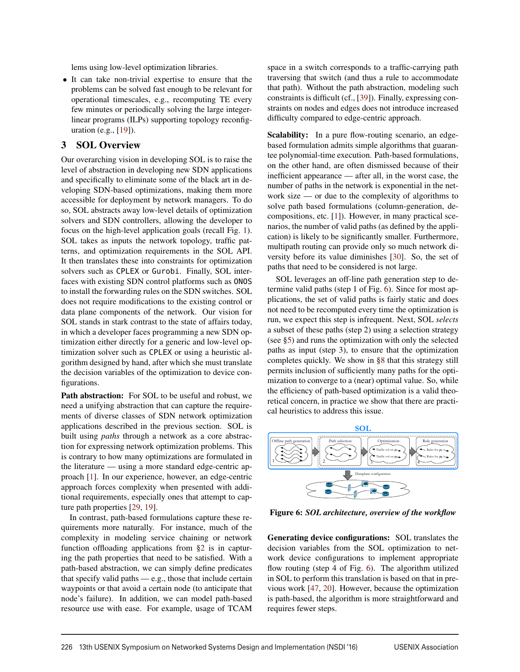lems using low-level optimization libraries.

• It can take non-trivial expertise to ensure that the problems can be solved fast enough to be relevant for operational timescales, e.g., recomputing TE every few minutes or periodically solving the large integerlinear programs (ILPs) supporting topology reconfiguration (e.g., [19]).

# 3 SOL Overview

Our overarching vision in developing SOL is to raise the level of abstraction in developing new SDN applications and specifically to eliminate some of the black art in developing SDN-based optimizations, making them more accessible for deployment by network managers. To do so, SOL abstracts away low-level details of optimization solvers and SDN controllers, allowing the developer to focus on the high-level application goals (recall Fig. 1). SOL takes as inputs the network topology, traffic patterns, and optimization requirements in the SOL API. It then translates these into constraints for optimization solvers such as CPLEX or Gurobi. Finally, SOL interfaces with existing SDN control platforms such as ONOS to install the forwarding rules on the SDN switches. SOL does not require modifications to the existing control or data plane components of the network. Our vision for SOL stands in stark contrast to the state of affairs today, in which a developer faces programming a new SDN optimization either directly for a generic and low-level optimization solver such as CPLEX or using a heuristic algorithm designed by hand, after which she must translate the decision variables of the optimization to device configurations.

Path abstraction: For SOL to be useful and robust, we need a unifying abstraction that can capture the requirements of diverse classes of SDN network optimization applications described in the previous section. SOL is built using *paths* through a network as a core abstraction for expressing network optimization problems. This is contrary to how many optimizations are formulated in the literature — using a more standard edge-centric approach [1]. In our experience, however, an edge-centric approach forces complexity when presented with additional requirements, especially ones that attempt to capture path properties [29, 19].

In contrast, path-based formulations capture these requirements more naturally. For instance, much of the complexity in modeling service chaining or network function offloading applications from §2 is in capturing the path properties that need to be satisfied. With a path-based abstraction, we can simply define predicates that specify valid paths — e.g., those that include certain waypoints or that avoid a certain node (to anticipate that node's failure). In addition, we can model path-based resource use with ease. For example, usage of TCAM space in a switch corresponds to a traffic-carrying path traversing that switch (and thus a rule to accommodate that path). Without the path abstraction, modeling such constraints is difficult (cf., [39]). Finally, expressing constraints on nodes and edges does not introduce increased difficulty compared to edge-centric approach.

Scalability: In a pure flow-routing scenario, an edgebased formulation admits simple algorithms that guarantee polynomial-time execution. Path-based formulations, on the other hand, are often dismissed because of their inefficient appearance — after all, in the worst case, the number of paths in the network is exponential in the network size — or due to the complexity of algorithms to solve path based formulations (column-generation, decompositions, etc.  $[1]$ ). However, in many practical scenarios, the number of valid paths (as defined by the application) is likely to be significantly smaller. Furthermore, multipath routing can provide only so much network diversity before its value diminishes [30]. So, the set of paths that need to be considered is not large.

SOL leverages an off-line path generation step to determine valid paths (step 1 of Fig. 6). Since for most applications, the set of valid paths is fairly static and does not need to be recomputed every time the optimization is run, we expect this step is infrequent. Next, SOL *selects* a subset of these paths (step 2) using a selection strategy (see §5) and runs the optimization with only the selected paths as input (step 3), to ensure that the optimization completes quickly. We show in §8 that this strategy still permits inclusion of sufficiently many paths for the optimization to converge to a (near) optimal value. So, while the efficiency of path-based optimization is a valid theoretical concern, in practice we show that there are practical heuristics to address this issue.



Figure 6: *SOL architecture, overview of the workflow*

Generating device configurations: SOL translates the decision variables from the SOL optimization to network device configurations to implement appropriate flow routing (step 4 of Fig. 6). The algorithm utilized in SOL to perform this translation is based on that in previous work [47, 20]. However, because the optimization is path-based, the algorithm is more straightforward and requires fewer steps.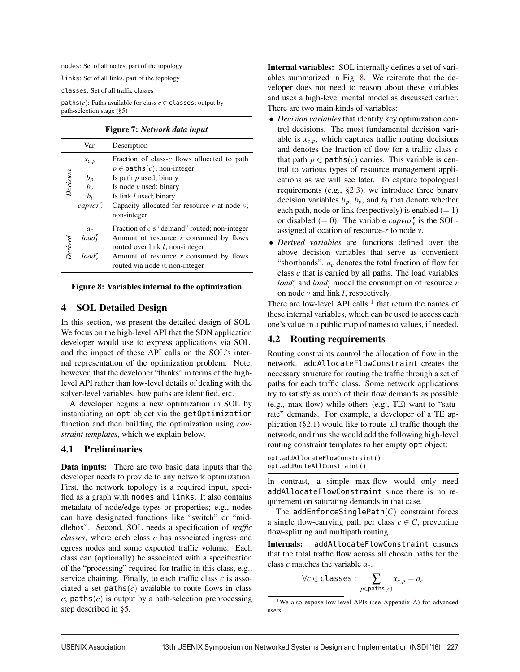nodes: Set of all nodes, part of the topology

links: Set of all links, part of the topology

classes: Set of all traffic classes

paths( $c$ ): Paths available for class  $c \in$  classes; output by path-selection stage (§5)

Figure 7: *Network data input*

|          | Var.                                                 | Description                                                                                                                                                                                                                                    |
|----------|------------------------------------------------------|------------------------------------------------------------------------------------------------------------------------------------------------------------------------------------------------------------------------------------------------|
| Decision | $x_{c,p}$<br>$b_p$<br>$b_{\nu}$<br>bı<br>$capvar'$ , | Fraction of class- $c$ flows allocated to path<br>$p \in$ paths(c); non-integer<br>Is path $p$ used; binary<br>Is node $\nu$ used; binary<br>Is link <i>l</i> used; binary<br>Capacity allocated for resource $r$ at node $v$ ;<br>non-integer |
| Derived  | $a_c$<br>load <sub>l</sub><br>load".                 | Fraction of $c$ 's "demand" routed; non-integer<br>Amount of resource r consumed by flows<br>routed over link l; non-integer<br>Amount of resource r consumed by flows<br>routed via node $v$ ; non-integer                                    |

#### Figure 8: Variables internal to the optimization

## 4 SOL Detailed Design

In this section, we present the detailed design of SOL. We focus on the high-level API that the SDN application developer would use to express applications via SOL, and the impact of these API calls on the SOL's internal representation of the optimization problem. Note, however, that the developer "thinks" in terms of the highlevel API rather than low-level details of dealing with the solver-level variables, how paths are identified, etc.

A developer begins a new optimization in SOL by instantiating an opt object via the getOptimization function and then building the optimization using *constraint templates*, which we explain below.

## 4.1 Preliminaries

Data inputs: There are two basic data inputs that the developer needs to provide to any network optimization. First, the network topology is a required input, specified as a graph with nodes and links. It also contains metadata of node/edge types or properties; e.g., nodes can have designated functions like "switch" or "middlebox". Second, SOL needs a specification of *traffic classes*, where each class *c* has associated ingress and egress nodes and some expected traffic volume. Each class can (optionally) be associated with a specification of the "processing" required for traffic in this class, e.g., service chaining. Finally, to each traffic class *c* is associated a set  $paths(c)$  available to route flows in class  $c$ ; paths $(c)$  is output by a path-selection preprocessing step described in §5.

Internal variables: SOL internally defines a set of variables summarized in Fig. 8. We reiterate that the developer does not need to reason about these variables and uses a high-level mental model as discussed earlier. There are two main kinds of variables:

- *Decision variables* that identify key optimization control decisions. The most fundamental decision variable is  $x_{c,p}$ , which captures traffic routing decisions and denotes the fraction of flow for a traffic class *c* that path  $p \in$  paths $(c)$  carries. This variable is central to various types of resource management applications as we will see later. To capture topological requirements (e.g., §2.3), we introduce three binary decision variables  $b_p$ ,  $b_v$ , and  $b_l$  that denote whether each path, node or link (respectively) is enabled  $(= 1)$ or disabled (= 0). The variable *capvar*<sup>*r*</sup><sub>*v*</sub> is the SOLassigned allocation of resource-*r* to node *v*.
- *Derived variables* are functions defined over the above decision variables that serve as convenient "shorthands". *ac* denotes the total fraction of flow for class *c* that is carried by all paths. The load variables *load*<sup>*r*</sup></sup> and *load*<sup>*r*</sup> model the consumption of resource *r* on node *v* and link *l*, respectively.

There are low-level API calls  $<sup>1</sup>$  that return the names of</sup> these internal variables, which can be used to access each one's value in a public map of names to values, if needed.

## 4.2 Routing requirements

Routing constraints control the allocation of flow in the network. addAllocateFlowConstraint creates the necessary structure for routing the traffic through a set of paths for each traffic class. Some network applications try to satisfy as much of their flow demands as possible (e.g., max-flow) while others (e.g., TE) want to "saturate" demands. For example, a developer of a TE application  $(\S2.1)$  would like to route all traffic though the network, and thus she would add the following high-level routing constraint templates to her empty opt object:

| opt.addAllocateFlowConstraint() |
|---------------------------------|
| opt.addRouteAllConstraint()     |

In contrast, a simple max-flow would only need addAllocateFlowConstraint since there is no requirement on saturating demands in that case.

The addEnforceSinglePath(*C*) constraint forces a single flow-carrying path per class  $c \in C$ , preventing flow-splitting and multipath routing.

Internals: addAllocateFlowConstraint ensures that the total traffic flow across all chosen paths for the class *c* matches the variable *ac*.

$$
\forall c \in \texttt{classes}: \sum_{p \in \texttt{paths}(c)} x_{c,p} = a_c
$$

<sup>1</sup>We also expose low-level APIs (see Appendix A) for advanced users.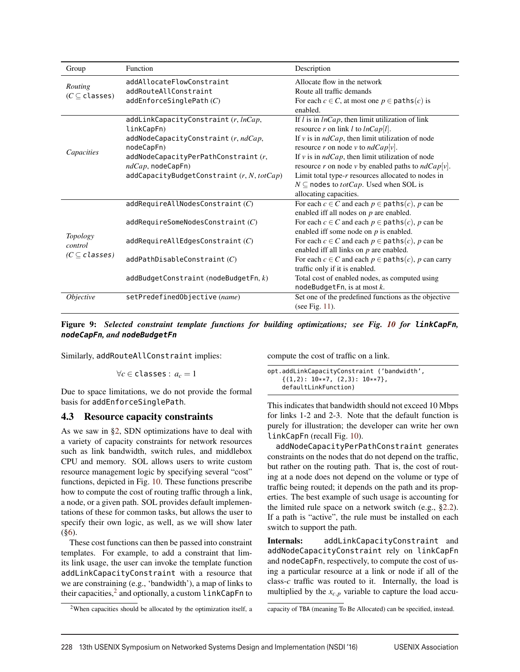| Group                                     | Function                                                                      | Description                                                                                                                                |
|-------------------------------------------|-------------------------------------------------------------------------------|--------------------------------------------------------------------------------------------------------------------------------------------|
| Routing<br>$(C \subseteq \text{classes})$ | addAllocateFlowConstraint<br>addRouteAllConstraint<br>addEnforcesinglePath(C) | Allocate flow in the network<br>Route all traffic demands<br>For each $c \in C$ , at most one $p \in$ paths $(c)$ is                       |
|                                           |                                                                               | enabled.                                                                                                                                   |
|                                           | addLinkCapacityConstraint (r, lnCap,<br>linkCapFn)                            | If $l$ is in $lnCap$ , then limit utilization of link<br>resource r on link l to $lnCap[l]$ .                                              |
|                                           | addNodeCapacityConstraint (r, ndCap,<br>nodeCapFn)                            | If $v$ is in $ndCap$ , then limit utilization of node<br>resource r on node v to $ndCap[v]$ .                                              |
| Capacities                                | addNodeCapacityPerPathConstant (r,<br>$ndCap$ , nodeCapFn)                    | If $v$ is in $ndCap$ , then limit utilization of node<br>resource r on node v by enabled paths to $ndCap[v]$ .                             |
|                                           | addCapacityBudgetConstraint (r, N, totCap)                                    | Limit total type- $r$ resources allocated to nodes in<br>$N \subseteq$ nodes to <i>totCap</i> . Used when SOL is<br>allocating capacities. |
|                                           | addRequired11NodesConstruct(C)                                                | For each $c \in C$ and each $p \in$ paths $(c)$ , p can be<br>enabled iff all nodes on $p$ are enabled.                                    |
|                                           | addRequiredSomeNodesConstruct (C)                                             | For each $c \in C$ and each $p \in$ paths $(c)$ , p can be<br>enabled iff some node on $p$ is enabled.                                     |
| <i>Topology</i><br>control                | addRequired1EedgesConstruct(C)                                                | For each $c \in C$ and each $p \in$ paths $(c)$ , p can be<br>enabled iff all links on $p$ are enabled.                                    |
| $(C \subseteq classes)$                   | addPathDisableConstant(C)                                                     | For each $c \in C$ and each $p \in$ paths $(c)$ , p can carry<br>traffic only if it is enabled.                                            |
|                                           | addBudgetConstant (nodeBudgetFn, k)                                           | Total cost of enabled nodes, as computed using<br>nodeBudgetFn, is at most $k$ .                                                           |
| Objective                                 | setPredefinedObjective (name)                                                 | Set one of the predefined functions as the objective<br>(see Fig. $11$ ).                                                                  |

Figure 9: *Selected constraint template functions for building optimizations; see Fig. 10 for* **linkCapFn***,* **nodeCapFn***, and* **nodeBudgetFn**

Similarly, addRouteAllConstraint implies:

$$
\forall c \in \text{classes} : a_c = 1
$$

Due to space limitations, we do not provide the formal basis for addEnforceSinglePath.

#### 4.3 Resource capacity constraints

As we saw in §2, SDN optimizations have to deal with a variety of capacity constraints for network resources such as link bandwidth, switch rules, and middlebox CPU and memory. SOL allows users to write custom resource management logic by specifying several "cost" functions, depicted in Fig. 10. These functions prescribe how to compute the cost of routing traffic through a link, a node, or a given path. SOL provides default implementations of these for common tasks, but allows the user to specify their own logic, as well, as we will show later (§6).

These cost functions can then be passed into constraint templates. For example, to add a constraint that limits link usage, the user can invoke the template function addLinkCapacityConstraint with a resource that we are constraining (e.g., 'bandwidth'), a map of links to their capacities, $<sup>2</sup>$  and optionally, a custom linkCapFn to</sup> compute the cost of traffic on a link.

```
opt.addLinkCapacityConstraint ('bandwidth',
    \{(1,2): 10**7, (2,3): 10**7\},defaultLinkFunction)
```
This indicates that bandwidth should not exceed 10 Mbps for links 1-2 and 2-3. Note that the default function is purely for illustration; the developer can write her own linkCapFn (recall Fig. 10).

addNodeCapacityPerPathConstraint generates constraints on the nodes that do not depend on the traffic, but rather on the routing path. That is, the cost of routing at a node does not depend on the volume or type of traffic being routed; it depends on the path and its properties. The best example of such usage is accounting for the limited rule space on a network switch (e.g., §2.2). If a path is "active", the rule must be installed on each switch to support the path.

Internals: addLinkCapacityConstraint and addNodeCapacityConstraint rely on linkCapFn and nodeCapFn, respectively, to compute the cost of using a particular resource at a link or node if all of the class-*c* traffic was routed to it. Internally, the load is multiplied by the  $x_{c,p}$  variable to capture the load accu-

capacity of TBA (meaning To Be Allocated) can be specified, instead.

 $2$ When capacities should be allocated by the optimization itself, a

<sup>228 13</sup>th USENIX Symposium on Networked Systems Design and Implementation (NSDI '16) USENIX Association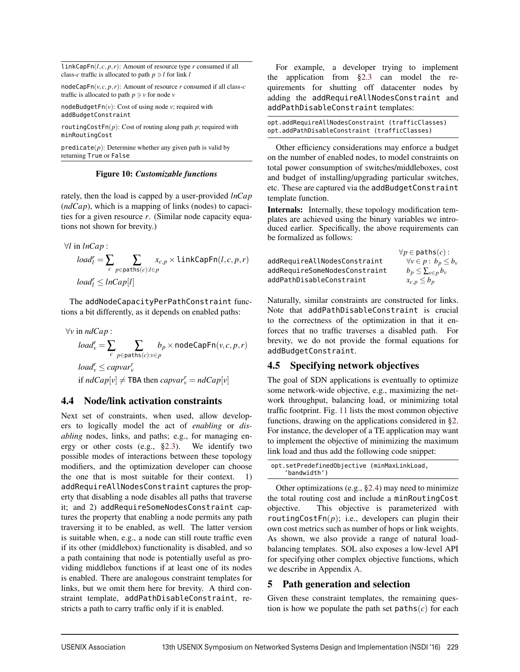LinkCapFn( $l, c, p, r$ ): Amount of resource type  $r$  consumed if all class-*c* traffic is allocated to path  $p \ni l$  for link *l* 

nodeCapFn( $v, c, p, r$ ): Amount of resource *r* consumed if all class-*c* traffic is allocated to path  $p \ni v$  for node *v* 

nodeBudgetFn(*v*): Cost of using node *v*; required with addBudgetConstraint

routingCostFn(*p*): Cost of routing along path *p*; required with minRoutingCost

 $predicte(p)$ : Determine whether any given path is valid by returning True or False

#### Figure 10: *Customizable functions*

rately, then the load is capped by a user-provided *lnCap* (*ndCap*), which is a mapping of links (nodes) to capacities for a given resource *r*. (Similar node capacity equations not shown for brevity.)

$$
\forall l \text{ in } lnCap: \\
load_l^r = \sum_c \sum_{p \in paths(c): l \in p} x_{c,p} \times \text{linkCapFn}(l, c, p, r)
$$
\n
$$
load_l^r \leq lnCap[l]
$$

The addNodeCapacityPerPathConstraint functions a bit differently, as it depends on enabled paths:

∀*v* in *ndCap* :  $load^r_v = \sum_c \sum_{p \in \texttt{paths}(i)}$ *p*∈paths(*c*):*v*∈*p*  $b_p \times \text{nodeCapFn}(v, c, p, r)$  $load_v^r \leq capvar_v^r$ if  $ndCap[v] \neq \textsf{TBA}$  then  $capvar_v^r = ndCap[v]$ 

# 4.4 Node/link activation constraints

Next set of constraints, when used, allow developers to logically model the act of *enabling* or *disabling* nodes, links, and paths; e.g., for managing energy or other costs (e.g., §2.3). We identify two possible modes of interactions between these topology modifiers, and the optimization developer can choose the one that is most suitable for their context. 1) addRequireAllNodesConstraint captures the property that disabling a node disables all paths that traverse it; and 2) addRequireSomeNodesConstraint captures the property that enabling a node permits any path traversing it to be enabled, as well. The latter version is suitable when, e.g., a node can still route traffic even if its other (middlebox) functionality is disabled, and so a path containing that node is potentially useful as providing middlebox functions if at least one of its nodes is enabled. There are analogous constraint templates for links, but we omit them here for brevity. A third constraint template, addPathDisableConstraint, restricts a path to carry traffic only if it is enabled.

For example, a developer trying to implement the application from  $\S 2.3$  can model the requirements for shutting off datacenter nodes by adding the addRequireAllNodesConstraint and addPathDisableConstraint templates:

| opt.addRequireAllNodesConstraint (trafficClasses) |  |
|---------------------------------------------------|--|
| opt.addPathDisableConstraint (trafficClasses)     |  |

Other efficiency considerations may enforce a budget on the number of enabled nodes, to model constraints on total power consumption of switches/middleboxes, cost and budget of installing/upgrading particular switches, etc. These are captured via the addBudgetConstraint template function.

Internals: Internally, these topology modification templates are achieved using the binary variables we introduced earlier. Specifically, the above requirements can be formalized as follows:

|                               | $\forall p \in$ paths $(c)$ :   |
|-------------------------------|---------------------------------|
| addRequireAllNodesConstraint  | $\forall v \in p : b_p \le b_v$ |
| addRequireSomeNodesConstraint | $b_p \leq \sum_{v \in p} b_v$   |
| addPathDisableConstraint      | $x_{c,p} \leq b_p$              |
|                               |                                 |

Naturally, similar constraints are constructed for links. Note that addPathDisableConstraint is crucial to the correctness of the optimization in that it enforces that no traffic traverses a disabled path. For brevity, we do not provide the formal equations for addBudgetConstraint.

# 4.5 Specifying network objectives

The goal of SDN applications is eventually to optimize some network-wide objective, e.g., maximizing the network throughput, balancing load, or minimizing total traffic footprint. Fig. 11 lists the most common objective functions, drawing on the applications considered in §2. For instance, the developer of a TE application may want to implement the objective of minimizing the maximum link load and thus add the following code snippet:

```
opt.setPredefinedObjective (minMaxLinkLoad,
    'bandwidth')
```
Other optimizations (e.g.,  $\S 2.4$ ) may need to minimize the total routing cost and include a minRoutingCost objective. This objective is parameterized with routingCostFn $(p)$ ; i.e., developers can plugin their own cost metrics such as number of hops or link weights. As shown, we also provide a range of natural loadbalancing templates. SOL also exposes a low-level API for specifying other complex objective functions, which we describe in Appendix A.

# 5 Path generation and selection

Given these constraint templates, the remaining question is how we populate the path set  $\mathsf{paths}(c)$  for each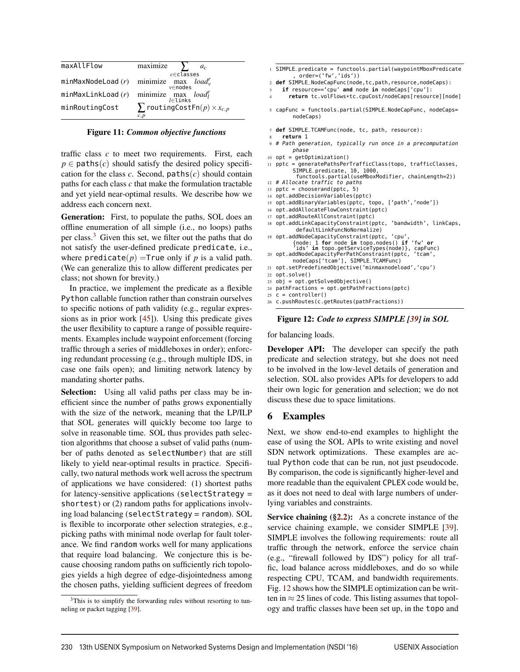| maxAllFlow        | maximize<br>$a_c$                                                                |
|-------------------|----------------------------------------------------------------------------------|
|                   | $c \in$ classes<br>minMaxNodeLoad $(r)$ minimize max $load_v^r$<br>$v \in$ nodes |
| minMaxLinkLoad(r) | minimize $\max_{l \in \text{links}} load_l^r$                                    |
| minRoutingCost    | $\sum$ routingCostFn $(p) \times x_{c,p}$<br>c, p                                |

| <b>Figure 11: Common objective functions</b> |  |  |  |
|----------------------------------------------|--|--|--|
|----------------------------------------------|--|--|--|

traffic class *c* to meet two requirements. First, each  $p \in$  paths(*c*) should satisfy the desired policy specification for the class  $c$ . Second,  $paths(c)$  should contain paths for each class *c* that make the formulation tractable and yet yield near-optimal results. We describe how we address each concern next.

Generation: First, to populate the paths, SOL does an offline enumeration of all simple (i.e., no loops) paths per class.<sup>3</sup> Given this set, we filter out the paths that do not satisfy the user-defined predicate predicate, i.e., where  $\text{predicate}(p) = \text{True only if } p \text{ is a valid path.}$ (We can generalize this to allow different predicates per class; not shown for brevity.)

In practice, we implement the predicate as a flexible Python callable function rather than constrain ourselves to specific notions of path validity (e.g., regular expressions as in prior work [45]). Using this predicate gives the user flexibility to capture a range of possible requirements. Examples include waypoint enforcement (forcing traffic through a series of middleboxes in order); enforcing redundant processing (e.g., through multiple IDS, in case one fails open); and limiting network latency by mandating shorter paths.

Selection: Using all valid paths per class may be inefficient since the number of paths grows exponentially with the size of the network, meaning that the LP/ILP that SOL generates will quickly become too large to solve in reasonable time. SOL thus provides path selection algorithms that choose a subset of valid paths (number of paths denoted as selectNumber) that are still likely to yield near-optimal results in practice. Specifically, two natural methods work well across the spectrum of applications we have considered: (1) shortest paths for latency-sensitive applications (selectStrategy = shortest) or (2) random paths for applications involving load balancing (selectStrategy = random). SOL is flexible to incorporate other selection strategies, e.g., picking paths with minimal node overlap for fault tolerance. We find random works well for many applications that require load balancing. We conjecture this is because choosing random paths on sufficiently rich topologies yields a high degree of edge-disjointedness among the chosen paths, yielding sufficient degrees of freedom

- <sup>1</sup> SIMPLE\_predicate = functools.partial(waypointMboxPredicate , order=('fw','ids'))
- <sup>2</sup> **def** SIMPLE\_NodeCapFunc(node,tc,path,resource,nodeCaps):
- if resource=='cpu' and node in nodeCaps['cpu']:
- <sup>4</sup> **return** tc.volFlows\*tc.cpuCost/nodeCaps[resource][node]
- <sup>5</sup> capFunc = functools.partial(SIMPLE\_NodeCapFunc, nodeCaps= nodeCaps)
- <sup>7</sup> **def** SIMPLE\_TCAMFunc(node, tc, path, resource):
- 8 **return** 1
- 9 # Path generation, typically run once in a precomputation phase
- $10$  opt = getOptimization()
- 11 pptc = generatePathsPerTrafficClass(topo, trafficClasses, SIMPLE\_predicate, 10, 1000,

functools.partial(useMboxModifier, chainLength=2)) 12 # Allocate traffic to paths

- 13 pptc = chooserand(pptc,  $5$ )
- 14 opt.addDecisionVariables(pptc)
- 15 opt.addBinaryVariables(pptc, topo, ['path','node'])
- 16 opt.addAllocateFlowConstraint(pptc)
- 17 opt.addRouteAllConstraint(pptc)
- 18 opt.addLinkCapacityConstraint(pptc, 'bandwidth', linkCaps, defaultLinkFuncNoNormalize)
- 19 opt.addNodeCapacityConstraint(pptc, 'cpu', {node: 1 **for** node **in** topo.nodes() **if** 'fw' **or** 'ids' **in** topo.getServiceTypes(node)}, capFunc) 20 opt.addNodeCapacityPerPathConstraint(pptc, 'tcam',
	- nodeCaps['tcam'], SIMPLE\_TCAMFunc)
- 21 opt.setPredefinedObjective('minmaxnodeload','cpu') 22 opt.solve()
- 23 obj = opt.getSolvedObjective()
- 24 pathFractions = opt.getPathFractions(pptc)
- 25  $c =$  controller()
- 26 c.pushRoutes(c.getRoutes(pathFractions))

#### Figure 12: *Code to express SIMPLE [39] in SOL*

for balancing loads.

Developer API: The developer can specify the path predicate and selection strategy, but she does not need to be involved in the low-level details of generation and selection. SOL also provides APIs for developers to add their own logic for generation and selection; we do not discuss these due to space limitations.

#### 6 Examples

Next, we show end-to-end examples to highlight the ease of using the SOL APIs to write existing and novel SDN network optimizations. These examples are actual Python code that can be run, not just pseudocode. By comparison, the code is significantly higher-level and more readable than the equivalent CPLEX code would be, as it does not need to deal with large numbers of underlying variables and constraints.

Service chaining  $(\S2.2)$ : As a concrete instance of the service chaining example, we consider SIMPLE [39]. SIMPLE involves the following requirements: route all traffic through the network, enforce the service chain (e.g., "firewall followed by IDS") policy for all traffic, load balance across middleboxes, and do so while respecting CPU, TCAM, and bandwidth requirements. Fig. 12 shows how the SIMPLE optimization can be written in  $\approx$  25 lines of code. This listing assumes that topology and traffic classes have been set up, in the topo and

<sup>&</sup>lt;sup>3</sup>This is to simplify the forwarding rules without resorting to tunneling or packet tagging [39].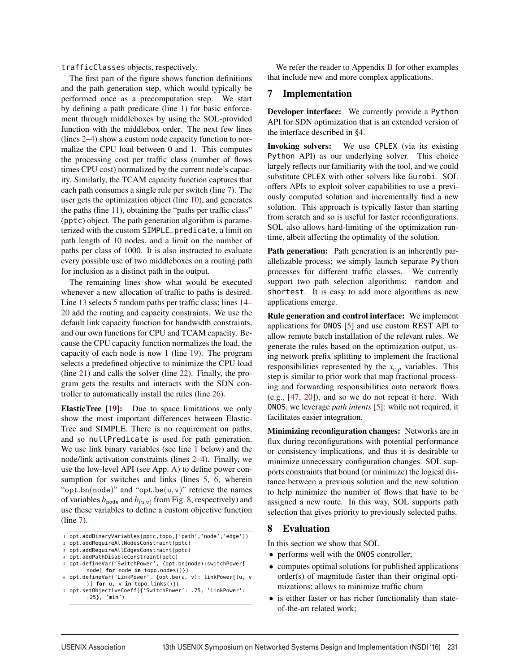trafficClasses objects, respectively.

The first part of the figure shows function definitions and the path generation step, which would typically be performed once as a precomputation step. We start by defining a path predicate (line 1) for basic enforcement through middleboxes by using the SOL-provided function with the middlebox order. The next few lines (lines 2–4) show a custom node capacity function to normalize the CPU load between 0 and 1. This computes the processing cost per traffic class (number of flows times CPU cost) normalized by the current node's capacity. Similarly, the TCAM capacity function captures that each path consumes a single rule per switch (line 7). The user gets the optimization object (line 10), and generates the paths (line 11), obtaining the "paths per traffic class" (pptc) object. The path generation algorithm is parameterized with the custom SIMPLE\_predicate, a limit on path length of 10 nodes, and a limit on the number of paths per class of 1000. It is also instructed to evaluate every possible use of two middleboxes on a routing path for inclusion as a distinct path in the output.

The remaining lines show what would be executed whenever a new allocation of traffic to paths is desired. Line 13 selects 5 random paths per traffic class; lines 14– 20 add the routing and capacity constraints. We use the default link capacity function for bandwidth constraints, and our own functions for CPU and TCAM capacity. Because the CPU capacity function normalizes the load, the capacity of each node is now 1 (line 19). The program selects a predefined objective to minimize the CPU load (line 21) and calls the solver (line 22). Finally, the program gets the results and interacts with the SDN controller to automatically install the rules (line 26).

ElasticTree [19]: Due to space limitations we only show the most important differences between Elastic-Tree and SIMPLE. There is no requirement on paths, and so nullPredicate is used for path generation. We use link binary variables (see line 1 below) and the node/link activation constraints (lines 2–4). Finally, we use the low-level API (see App. A) to define power consumption for switches and links (lines 5, 6, wherein "opt.bn(node)" and "opt.be $(u, v)$ " retrieve the names of variables  $b_{\text{node}}$  and  $b_{(u,v)}$  from Fig. 8, respectively) and use these variables to define a custom objective function (line 7).

We refer the reader to Appendix B for other examples that include new and more complex applications.

#### 7 Implementation

Developer interface: We currently provide a Python API for SDN optimization that is an extended version of the interface described in §4.

Invoking solvers: We use CPLEX (via its existing Python API) as our underlying solver. This choice largely reflects our familiarity with the tool, and we could substitute CPLEX with other solvers like Gurobi. SOL offers APIs to exploit solver capabilities to use a previously computed solution and incrementally find a new solution. This approach is typically faster than starting from scratch and so is useful for faster reconfigurations. SOL also allows hard-limiting of the optimization runtime, albeit affecting the optimality of the solution.

Path generation: Path generation is an inherently parallelizable process; we simply launch separate Python processes for different traffic classes. We currently support two path selection algorithms: random and shortest. It is easy to add more algorithms as new applications emerge.

Rule generation and control interface: We implement applications for ONOS [5] and use custom REST API to allow remote batch installation of the relevant rules. We generate the rules based on the optimization output, using network prefix splitting to implement the fractional responsibilities represented by the  $x_{c,p}$  variables. This step is similar to prior work that map fractional processing and forwarding responsibilities onto network flows (e.g., [47, 20]), and so we do not repeat it here. With ONOS, we leverage *path intents* [5]: while not required, it facilitates easier integration.

Minimizing reconfiguration changes: Networks are in flux during reconfigurations with potential performance or consistency implications, and thus it is desirable to minimize unnecessary configuration changes. SOL supports constraints that bound (or minimize) the logical distance between a previous solution and the new solution to help minimize the number of flows that have to be assigned a new route. In this way, SOL supports path selection that gives priority to previously selected paths.

# 8 Evaluation

In this section we show that SOL

- performs well with the ONOS controller;
- computes optimal solutions for published applications order(s) of magnitude faster than their original optimizations; allows to minimize traffic churn
- is either faster or has richer functionality than stateof-the-art related work;

<sup>1</sup> opt.addBinaryVariables(pptc,topo,['path','node','edge'])

<sup>2</sup> opt.addRequireAllNodesConstraint(pptc)

<sup>3</sup> opt.addRequireAllEdgesConstraint(pptc)

<sup>4</sup> opt.addPathDisableConstraint(pptc)

<sup>5</sup> opt.defineVar('SwitchPower', {opt.bn(node):switchPower[ node] **for** node **in** topo.nodes()})

<sup>6</sup> opt.defineVar('LinkPower', {opt.be(u, v): linkPower[(u, v )] **for** u, v **in** topo.links()})

<sup>7</sup> opt.setObjectiveCoeff({'SwitchPower': .75, 'LinkPower': .25}, 'min')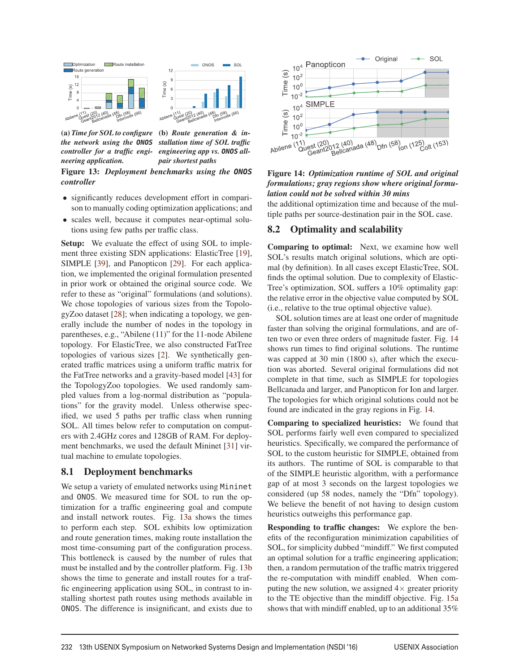

(a) *Time for SOL to configure the network using the* **ONOS** *controller for a traffic engineering application.* (b) *Route generation & installation time of SOL traffic engineering app vs.* **ONOS** *allpair shortest paths* Figure 13: *Deployment benchmarks using the* **ONOS** *controller*

- significantly reduces development effort in comparison to manually coding optimization applications; and
- scales well, because it computes near-optimal solutions using few paths per traffic class.

Setup: We evaluate the effect of using SOL to implement three existing SDN applications: ElasticTree [19], SIMPLE [39], and Panopticon [29]. For each application, we implemented the original formulation presented in prior work or obtained the original source code. We refer to these as "original" formulations (and solutions). We chose topologies of various sizes from the TopologyZoo dataset [28]; when indicating a topology, we generally include the number of nodes in the topology in parentheses, e.g., "Abilene (11)" for the 11-node Abilene topology. For ElasticTree, we also constructed FatTree topologies of various sizes [2]. We synthetically generated traffic matrices using a uniform traffic matrix for the FatTree networks and a gravity-based model [43] for the TopologyZoo topologies. We used randomly sampled values from a log-normal distribution as "populations" for the gravity model. Unless otherwise specified, we used 5 paths per traffic class when running SOL. All times below refer to computation on computers with 2.4GHz cores and 128GB of RAM. For deployment benchmarks, we used the default Mininet [31] virtual machine to emulate topologies.

#### 8.1 Deployment benchmarks

We setup a variety of emulated networks using Mininet and ONOS. We measured time for SOL to run the optimization for a traffic engineering goal and compute and install network routes. Fig. 13a shows the times to perform each step. SOL exhibits low optimization and route generation times, making route installation the most time-consuming part of the configuration process. This bottleneck is caused by the number of rules that must be installed and by the controller platform. Fig. 13b shows the time to generate and install routes for a traffic engineering application using SOL, in contrast to installing shortest path routes using methods available in ONOS. The difference is insignificant, and exists due to



### Figure 14: *Optimization runtime of SOL and original formulations; gray regions show where original formulation could not be solved within 30 mins*

the additional optimization time and because of the multiple paths per source-destination pair in the SOL case.

## 8.2 Optimality and scalability

Comparing to optimal: Next, we examine how well SOL's results match original solutions, which are optimal (by definition). In all cases except ElasticTree, SOL finds the optimal solution. Due to complexity of Elastic-Tree's optimization, SOL suffers a 10% optimality gap: the relative error in the objective value computed by SOL (i.e., relative to the true optimal objective value).

SOL solution times are at least one order of magnitude faster than solving the original formulations, and are often two or even three orders of magnitude faster. Fig. 14 shows run times to find original solutions. The runtime was capped at 30 min (1800 s), after which the execution was aborted. Several original formulations did not complete in that time, such as SIMPLE for topologies Bellcanada and larger, and Panopticon for Ion and larger. The topologies for which original solutions could not be found are indicated in the gray regions in Fig. 14.

Comparing to specialized heuristics: We found that SOL performs fairly well even compared to specialized heuristics. Specifically, we compared the performance of SOL to the custom heuristic for SIMPLE, obtained from its authors. The runtime of SOL is comparable to that of the SIMPLE heuristic algorithm, with a performance gap of at most 3 seconds on the largest topologies we considered (up 58 nodes, namely the "Dfn" topology). We believe the benefit of not having to design custom heuristics outweighs this performance gap.

Responding to traffic changes: We explore the benefits of the reconfiguration minimization capabilities of SOL, for simplicity dubbed "mindiff." We first computed an optimal solution for a traffic engineering application; then, a random permutation of the traffic matrix triggered the re-computation with mindiff enabled. When computing the new solution, we assigned  $4\times$  greater priority to the TE objective than the mindiff objective. Fig. 15a shows that with mindiff enabled, up to an additional 35%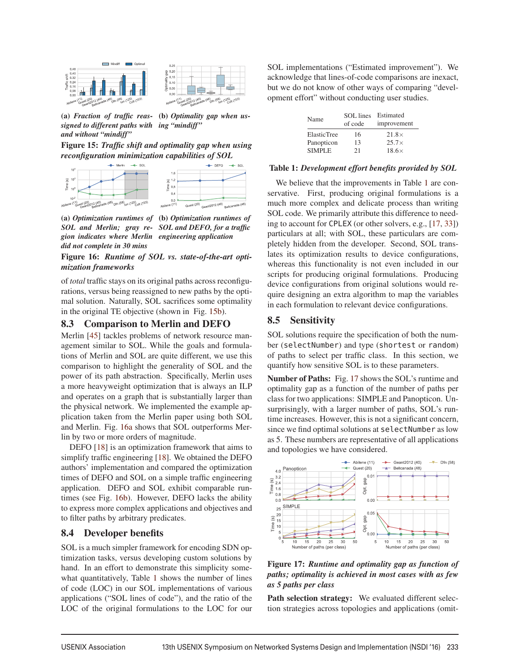



(a) *Fraction of traffic reassigned to different paths with and without "mindiff"* (b) *Optimality gap when using "mindiff"*

Figure 15: *Traffic shift and optimality gap when using reconfiguration minimization capabilities of SOL*<br>  $\begin{array}{r} \leftrightarrow \text{Number of the image} \\ \hline \end{array}$ 



(a) *Optimization runtimes of* (b) *Optimization runtimes of SOL and Merlin; gray re-SOL and DEFO, for a traffic gion indicates where Merlin engineering application did not complete in 30 mins*

Figure 16: *Runtime of SOL vs. state-of-the-art optimization frameworks*

of *total* traffic stays on its original paths across reconfigurations, versus being reassigned to new paths by the optimal solution. Naturally, SOL sacrifices some optimality in the original TE objective (shown in Fig. 15b).

# 8.3 Comparison to Merlin and DEFO

Merlin [45] tackles problems of network resource management similar to SOL. While the goals and formulations of Merlin and SOL are quite different, we use this comparison to highlight the generality of SOL and the power of its path abstraction. Specifically, Merlin uses a more heavyweight optimization that is always an ILP and operates on a graph that is substantially larger than the physical network. We implemented the example application taken from the Merlin paper using both SOL and Merlin. Fig. 16a shows that SOL outperforms Merlin by two or more orders of magnitude.

DEFO [18] is an optimization framework that aims to simplify traffic engineering [18]. We obtained the DEFO authors' implementation and compared the optimization times of DEFO and SOL on a simple traffic engineering application. DEFO and SOL exhibit comparable runtimes (see Fig. 16b). However, DEFO lacks the ability to express more complex applications and objectives and to filter paths by arbitrary predicates.

## 8.4 Developer benefits

SOL is a much simpler framework for encoding SDN optimization tasks, versus developing custom solutions by hand. In an effort to demonstrate this simplicity somewhat quantitatively, Table 1 shows the number of lines of code (LOC) in our SOL implementations of various applications ("SOL lines of code"), and the ratio of the LOC of the original formulations to the LOC for our SOL implementations ("Estimated improvement"). We acknowledge that lines-of-code comparisons are inexact, but we do not know of other ways of comparing "development effort" without conducting user studies.

| Name               | SOL lines<br>of code | Estimated<br>improvement |  |
|--------------------|----------------------|--------------------------|--|
| <b>ElasticTree</b> | 16                   | $21.8\times$             |  |
| Panopticon         | 13                   | $25.7\times$             |  |
| <b>SIMPLE</b>      | 21                   | $18.6\times$             |  |

#### Table 1: *Development effort benefits provided by SOL*

We believe that the improvements in Table 1 are conservative. First, producing original formulations is a much more complex and delicate process than writing SOL code. We primarily attribute this difference to needing to account for CPLEX (or other solvers, e.g., [17, 33]) particulars at all; with SOL, these particulars are completely hidden from the developer. Second, SOL translates its optimization results to device configurations, whereas this functionality is not even included in our scripts for producing original formulations. Producing device configurations from original solutions would require designing an extra algorithm to map the variables in each formulation to relevant device configurations.

#### 8.5 Sensitivity

SOL solutions require the specification of both the number (selectNumber) and type (shortest or random) of paths to select per traffic class. In this section, we quantify how sensitive SOL is to these parameters.

Number of Paths: Fig. 17 shows the SOL's runtime and optimality gap as a function of the number of paths per class for two applications: SIMPLE and Panopticon. Unsurprisingly, with a larger number of paths, SOL's runtime increases. However, this is not a significant concern, since we find optimal solutions at selectNumber as low as 5. These numbers are representative of all applications and topologies we have considered.



Figure 17: *Runtime and optimality gap as function of paths; optimality is achieved in most cases with as few as 5 paths per class*

Path selection strategy: We evaluated different selection strategies across topologies and applications (omit-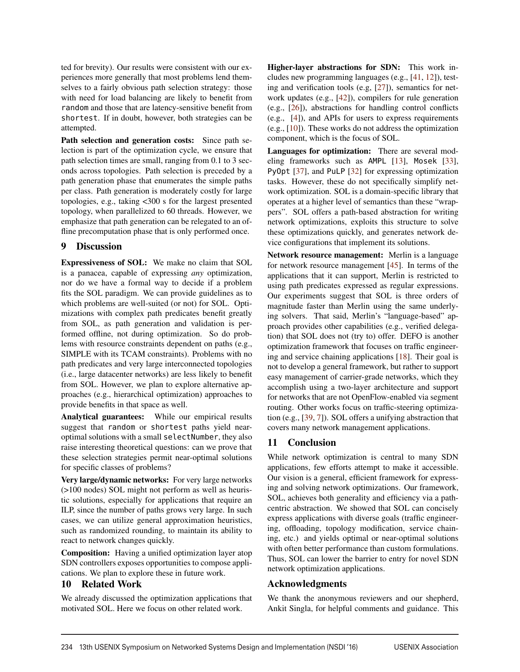ted for brevity). Our results were consistent with our experiences more generally that most problems lend themselves to a fairly obvious path selection strategy: those with need for load balancing are likely to benefit from random and those that are latency-sensitive benefit from shortest. If in doubt, however, both strategies can be attempted.

Path selection and generation costs: Since path selection is part of the optimization cycle, we ensure that path selection times are small, ranging from 0.1 to 3 seconds across topologies. Path selection is preceded by a path generation phase that enumerates the simple paths per class. Path generation is moderately costly for large topologies, e.g., taking <300 s for the largest presented topology, when parallelized to 60 threads. However, we emphasize that path generation can be relegated to an offline precomputation phase that is only performed once.

# 9 Discussion

Expressiveness of SOL: We make no claim that SOL is a panacea, capable of expressing *any* optimization, nor do we have a formal way to decide if a problem fits the SOL paradigm. We can provide guidelines as to which problems are well-suited (or not) for SOL. Optimizations with complex path predicates benefit greatly from SOL, as path generation and validation is performed offline, not during optimization. So do problems with resource constraints dependent on paths (e.g., SIMPLE with its TCAM constraints). Problems with no path predicates and very large interconnected topologies (i.e., large datacenter networks) are less likely to benefit from SOL. However, we plan to explore alternative approaches (e.g., hierarchical optimization) approaches to provide benefits in that space as well.

Analytical guarantees: While our empirical results suggest that random or shortest paths yield nearoptimal solutions with a small selectNumber, they also raise interesting theoretical questions: can we prove that these selection strategies permit near-optimal solutions for specific classes of problems?

Very large/dynamic networks: For very large networks (>100 nodes) SOL might not perform as well as heuristic solutions, especially for applications that require an ILP, since the number of paths grows very large. In such cases, we can utilize general approximation heuristics, such as randomized rounding, to maintain its ability to react to network changes quickly.

Composition: Having a unified optimization layer atop SDN controllers exposes opportunities to compose applications. We plan to explore these in future work.

## 10 Related Work

We already discussed the optimization applications that motivated SOL. Here we focus on other related work.

Higher-layer abstractions for SDN: This work includes new programming languages (e.g., [41, 12]), testing and verification tools (e.g, [27]), semantics for network updates (e.g., [42]), compilers for rule generation (e.g., [26]), abstractions for handling control conflicts (e.g., [4]), and APIs for users to express requirements (e.g., [10]). These works do not address the optimization component, which is the focus of SOL.

Languages for optimization: There are several modeling frameworks such as AMPL [13], Mosek [33], PyOpt [37], and PuLP [32] for expressing optimization tasks. However, these do not specifically simplify network optimization. SOL is a domain-specific library that operates at a higher level of semantics than these "wrappers". SOL offers a path-based abstraction for writing network optimizations, exploits this structure to solve these optimizations quickly, and generates network device configurations that implement its solutions.

Network resource management: Merlin is a language for network resource management [45]. In terms of the applications that it can support, Merlin is restricted to using path predicates expressed as regular expressions. Our experiments suggest that SOL is three orders of magnitude faster than Merlin using the same underlying solvers. That said, Merlin's "language-based" approach provides other capabilities (e.g., verified delegation) that SOL does not (try to) offer. DEFO is another optimization framework that focuses on traffic engineering and service chaining applications [18]. Their goal is not to develop a general framework, but rather to support easy management of carrier-grade networks, which they accomplish using a two-layer architecture and support for networks that are not OpenFlow-enabled via segment routing. Other works focus on traffic-steering optimization (e.g., [39, 7]). SOL offers a unifying abstraction that covers many network management applications.

# 11 Conclusion

While network optimization is central to many SDN applications, few efforts attempt to make it accessible. Our vision is a general, efficient framework for expressing and solving network optimizations. Our framework, SOL, achieves both generality and efficiency via a pathcentric abstraction. We showed that SOL can concisely express applications with diverse goals (traffic engineering, offloading, topology modification, service chaining, etc.) and yields optimal or near-optimal solutions with often better performance than custom formulations. Thus, SOL can lower the barrier to entry for novel SDN network optimization applications.

# Acknowledgments

We thank the anonymous reviewers and our shepherd, Ankit Singla, for helpful comments and guidance. This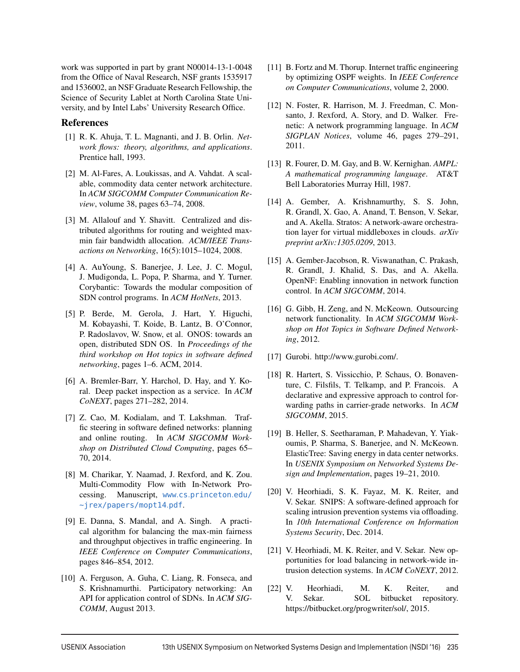work was supported in part by grant N00014-13-1-0048 from the Office of Naval Research, NSF grants 1535917 and 1536002, an NSF Graduate Research Fellowship, the Science of Security Lablet at North Carolina State University, and by Intel Labs' University Research Office.

#### References

- [1] R. K. Ahuja, T. L. Magnanti, and J. B. Orlin. *Network flows: theory, algorithms, and applications*. Prentice hall, 1993.
- [2] M. Al-Fares, A. Loukissas, and A. Vahdat. A scalable, commodity data center network architecture. In *ACM SIGCOMM Computer Communication Review*, volume 38, pages 63–74, 2008.
- [3] M. Allalouf and Y. Shavitt. Centralized and distributed algorithms for routing and weighted maxmin fair bandwidth allocation. *ACM/IEEE Transactions on Networking*, 16(5):1015–1024, 2008.
- [4] A. AuYoung, S. Banerjee, J. Lee, J. C. Mogul, J. Mudigonda, L. Popa, P. Sharma, and Y. Turner. Corybantic: Towards the modular composition of SDN control programs. In *ACM HotNets*, 2013.
- [5] P. Berde, M. Gerola, J. Hart, Y. Higuchi, M. Kobayashi, T. Koide, B. Lantz, B. O'Connor, P. Radoslavov, W. Snow, et al. ONOS: towards an open, distributed SDN OS. In *Proceedings of the third workshop on Hot topics in software defined networking*, pages 1–6. ACM, 2014.
- [6] A. Bremler-Barr, Y. Harchol, D. Hay, and Y. Koral. Deep packet inspection as a service. In *ACM CoNEXT*, pages 271–282, 2014.
- [7] Z. Cao, M. Kodialam, and T. Lakshman. Traffic steering in software defined networks: planning and online routing. In *ACM SIGCOMM Workshop on Distributed Cloud Computing*, pages 65– 70, 2014.
- [8] M. Charikar, Y. Naamad, J. Rexford, and K. Zou. Multi-Commodity Flow with In-Network Processing. Manuscript, www.cs.princeton.edu/ ~jrex/papers/mopt14.pdf.
- [9] E. Danna, S. Mandal, and A. Singh. A practical algorithm for balancing the max-min fairness and throughput objectives in traffic engineering. In *IEEE Conference on Computer Communications*, pages 846–854, 2012.
- [10] A. Ferguson, A. Guha, C. Liang, R. Fonseca, and S. Krishnamurthi. Participatory networking: An API for application control of SDNs. In *ACM SIG-COMM*, August 2013.
- [11] B. Fortz and M. Thorup. Internet traffic engineering by optimizing OSPF weights. In *IEEE Conference on Computer Communications*, volume 2, 2000.
- [12] N. Foster, R. Harrison, M. J. Freedman, C. Monsanto, J. Rexford, A. Story, and D. Walker. Frenetic: A network programming language. In *ACM SIGPLAN Notices*, volume 46, pages 279–291, 2011.
- [13] R. Fourer, D. M. Gay, and B. W. Kernighan. *AMPL: A mathematical programming language*. AT&T Bell Laboratories Murray Hill, 1987.
- [14] A. Gember, A. Krishnamurthy, S. S. John, R. Grandl, X. Gao, A. Anand, T. Benson, V. Sekar, and A. Akella. Stratos: A network-aware orchestration layer for virtual middleboxes in clouds. *arXiv preprint arXiv:1305.0209*, 2013.
- [15] A. Gember-Jacobson, R. Viswanathan, C. Prakash, R. Grandl, J. Khalid, S. Das, and A. Akella. OpenNF: Enabling innovation in network function control. In *ACM SIGCOMM*, 2014.
- [16] G. Gibb, H. Zeng, and N. McKeown. Outsourcing network functionality. In *ACM SIGCOMM Workshop on Hot Topics in Software Defined Networking*, 2012.
- [17] Gurobi. http://www.gurobi.com/.
- [18] R. Hartert, S. Vissicchio, P. Schaus, O. Bonaventure, C. Filsfils, T. Telkamp, and P. Francois. A declarative and expressive approach to control forwarding paths in carrier-grade networks. In *ACM SIGCOMM*, 2015.
- [19] B. Heller, S. Seetharaman, P. Mahadevan, Y. Yiakoumis, P. Sharma, S. Banerjee, and N. McKeown. ElasticTree: Saving energy in data center networks. In *USENIX Symposium on Networked Systems Design and Implementation*, pages 19–21, 2010.
- [20] V. Heorhiadi, S. K. Fayaz, M. K. Reiter, and V. Sekar. SNIPS: A software-defined approach for scaling intrusion prevention systems via offloading. In *10th International Conference on Information Systems Security*, Dec. 2014.
- [21] V. Heorhiadi, M. K. Reiter, and V. Sekar. New opportunities for load balancing in network-wide intrusion detection systems. In *ACM CoNEXT*, 2012.
- [22] V. Heorhiadi, M. K. Reiter, and V. Sekar. SOL bitbucket repository. https://bitbucket.org/progwriter/sol/, 2015.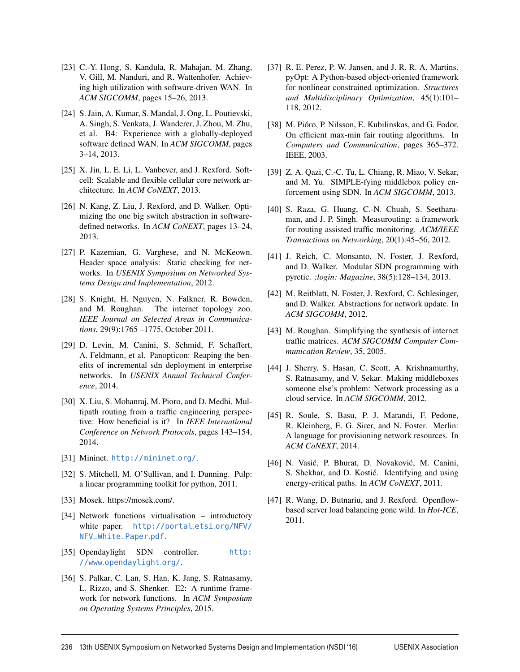- [23] C.-Y. Hong, S. Kandula, R. Mahajan, M. Zhang, V. Gill, M. Nanduri, and R. Wattenhofer. Achieving high utilization with software-driven WAN. In *ACM SIGCOMM*, pages 15–26, 2013.
- [24] S. Jain, A. Kumar, S. Mandal, J. Ong, L. Poutievski, A. Singh, S. Venkata, J. Wanderer, J. Zhou, M. Zhu, et al. B4: Experience with a globally-deployed software defined WAN. In *ACM SIGCOMM*, pages 3–14, 2013.
- [25] X. Jin, L. E. Li, L. Vanbever, and J. Rexford. Softcell: Scalable and flexible cellular core network architecture. In *ACM CoNEXT*, 2013.
- [26] N. Kang, Z. Liu, J. Rexford, and D. Walker. Optimizing the one big switch abstraction in softwaredefined networks. In *ACM CoNEXT*, pages 13–24, 2013.
- [27] P. Kazemian, G. Varghese, and N. McKeown. Header space analysis: Static checking for networks. In *USENIX Symposium on Networked Systems Design and Implementation*, 2012.
- [28] S. Knight, H. Nguyen, N. Falkner, R. Bowden, and M. Roughan. The internet topology zoo. *IEEE Journal on Selected Areas in Communications*, 29(9):1765 –1775, October 2011.
- [29] D. Levin, M. Canini, S. Schmid, F. Schaffert, A. Feldmann, et al. Panopticon: Reaping the benefits of incremental sdn deployment in enterprise networks. In *USENIX Annual Technical Conference*, 2014.
- [30] X. Liu, S. Mohanraj, M. Pioro, and D. Medhi. Multipath routing from a traffic engineering perspective: How beneficial is it? In *IEEE International Conference on Network Protocols*, pages 143–154, 2014.
- [31] Mininet. http://mininet.org/.
- [32] S. Mitchell, M. O'Sullivan, and I. Dunning. Pulp: a linear programming toolkit for python, 2011.
- [33] Mosek. https://mosek.com/.
- [34] Network functions virtualisation introductory white paper. http://portal.etsi.org/NFV/ NFV\_White\_Paper.pdf.
- [35] Opendaylight SDN controller. http: //www.opendaylight.org/.
- [36] S. Palkar, C. Lan, S. Han, K. Jang, S. Ratnasamy, L. Rizzo, and S. Shenker. E2: A runtime framework for network functions. In *ACM Symposium on Operating Systems Principles*, 2015.
- [37] R. E. Perez, P. W. Jansen, and J. R. R. A. Martins. pyOpt: A Python-based object-oriented framework for nonlinear constrained optimization. *Structures and Multidisciplinary Optimization*, 45(1):101– 118, 2012.
- [38] M. Pióro, P. Nilsson, E. Kubilinskas, and G. Fodor. On efficient max-min fair routing algorithms. In *Computers and Communication*, pages 365–372. IEEE, 2003.
- [39] Z. A. Qazi, C.-C. Tu, L. Chiang, R. Miao, V. Sekar, and M. Yu. SIMPLE-fying middlebox policy enforcement using SDN. In *ACM SIGCOMM*, 2013.
- [40] S. Raza, G. Huang, C.-N. Chuah, S. Seetharaman, and J. P. Singh. Measurouting: a framework for routing assisted traffic monitoring. *ACM/IEEE Transactions on Networking*, 20(1):45–56, 2012.
- [41] J. Reich, C. Monsanto, N. Foster, J. Rexford, and D. Walker. Modular SDN programming with pyretic. *;login: Magazine*, 38(5):128–134, 2013.
- [42] M. Reitblatt, N. Foster, J. Rexford, C. Schlesinger, and D. Walker. Abstractions for network update. In *ACM SIGCOMM*, 2012.
- [43] M. Roughan. Simplifying the synthesis of internet traffic matrices. *ACM SIGCOMM Computer Communication Review*, 35, 2005.
- [44] J. Sherry, S. Hasan, C. Scott, A. Krishnamurthy, S. Ratnasamy, and V. Sekar. Making middleboxes someone else's problem: Network processing as a cloud service. In *ACM SIGCOMM*, 2012.
- [45] R. Soule, S. Basu, P. J. Marandi, F. Pedone, R. Kleinberg, E. G. Sirer, and N. Foster. Merlin: A language for provisioning network resources. In *ACM CoNEXT*, 2014.
- [46] N. Vasić, P. Bhurat, D. Novaković, M. Canini, S. Shekhar, and D. Kostić. Identifying and using energy-critical paths. In *ACM CoNEXT*, 2011.
- [47] R. Wang, D. Butnariu, and J. Rexford. Openflowbased server load balancing gone wild. In *Hot-ICE*, 2011.